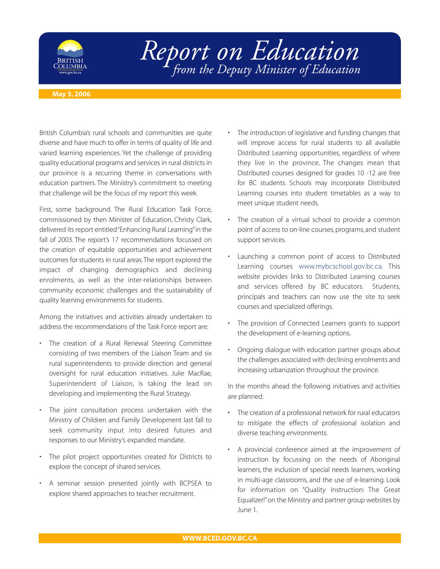

## *Report on Education from the Deputy Minister of Education*

## **May 5, 2006**

British Columbia's rural schools and communities are quite diverse and have much to offer in terms of quality of life and varied learning experiences. Yet the challenge of providing quality educational programs and services in rural districts in our province is a recurring theme in conversations with education partners. The Ministry's commitment to meeting that challenge will be the focus of my report this week.

First, some background. The Rural Education Task Force, commissioned by then Minister of Education, Christy Clark, delivered its report entitled "Enhancing Rural Learning"in the fall of 2003. The report's 17 recommendations focussed on the creation of equitable opportunities and achievement outcomes for students in rural areas.The report explored the impact of changing demographics and declining enrolments, as well as the inter-relationships between community economic challenges and the sustainability of quality learning environments for students.

Among the initiatives and activities already undertaken to address the recommendations of the Task Force report are:

- The creation of a Rural Renewal Steering Committee consisting of two members of the Liaison Team and six rural superintendents to provide direction and general oversight for rural education initiatives. Julie MacRae, Superintendent of Liaison, is taking the lead on developing and implementing the Rural Strategy.
- The joint consultation process undertaken with the Ministry of Children and Family Development last fall to seek community input into desired futures and responses to our Ministry's expanded mandate.
- The pilot project opportunities created for Districts to explore the concept of shared services.
- A seminar session presented jointly with BCPSEA to explore shared approaches to teacher recruitment.
- The introduction of legislative and funding changes that will improve access for rural students to all available Distributed Learning opportunities, regardless of where they live in the province. The changes mean that Distributed courses designed for grades 10 -12 are free for BC students. Schools may incorporate Distributed Learning courses into student timetables as a way to meet unique student needs.
- The creation of a virtual school to provide a common point of access to on-line courses, programs, and student support services.
- Launching a common point of access to Distributed Learning courses [www.mybcschool.gov.bc.ca.](www.mybcschool.gov.bc.ca) This website provides links to Distributed Learning courses and services offered by BC educators. Students, principals and teachers can now use the site to seek courses and specialized offerings.
- The provision of Connected Learners grants to support the development of e-learning options.
- Ongoing dialogue with education partner groups about the challenges associated with declining enrolments and increasing urbanization throughout the province.

In the months ahead the following initiatives and activities are planned:

- The creation of a professional network for rural educators to mitigate the effects of professional isolation and diverse teaching environments.
- A provincial conference aimed at the improvement of instruction by focussing on the needs of Aboriginal learners, the inclusion of special needs learners, working in multi-age classrooms, and the use of e-learning. Look for information on "Quality Instruction: The Great Equalizer!"on the Ministry and partner group websites by June 1.